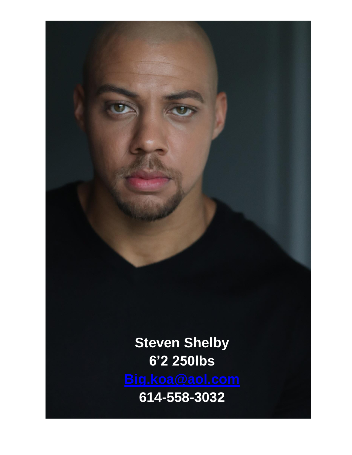**Steven Shelby 6'2 250lbs 614-558-3032**